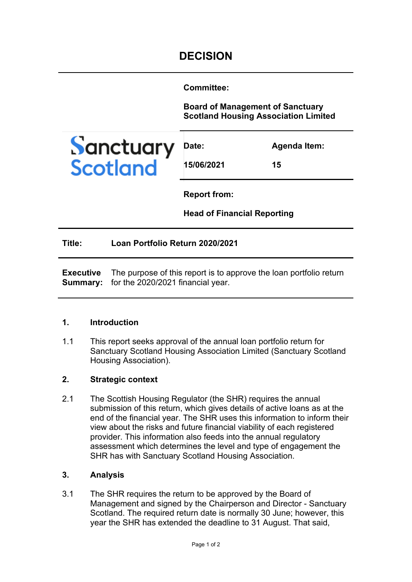**Committee:** 

**Board of Management of Sanctuary Scotland Housing Association Limited**



**15/06/2021**

**Agenda Item:** 

**15**

**Report from:** 

**Head of Financial Reporting**

**Title: Loan Portfolio Return 2020/2021**

**Executive Summary:**  for the 2020/2021 financial year. The purpose of this report is to approve the loan portfolio return

### **1. Introduction**

1.1 This report seeks approval of the annual loan portfolio return for Sanctuary Scotland Housing Association Limited (Sanctuary Scotland Housing Association).

# **2. Strategic context**

2.1 The Scottish Housing Regulator (the SHR) requires the annual submission of this return, which gives details of active loans as at the end of the financial year. The SHR uses this information to inform their view about the risks and future financial viability of each registered provider. This information also feeds into the annual regulatory assessment which determines the level and type of engagement the SHR has with Sanctuary Scotland Housing Association.

### **3. Analysis**

3.1 The SHR requires the return to be approved by the Board of Management and signed by the Chairperson and Director - Sanctuary Scotland. The required return date is normally 30 June; however, this year the SHR has extended the deadline to 31 August. That said,